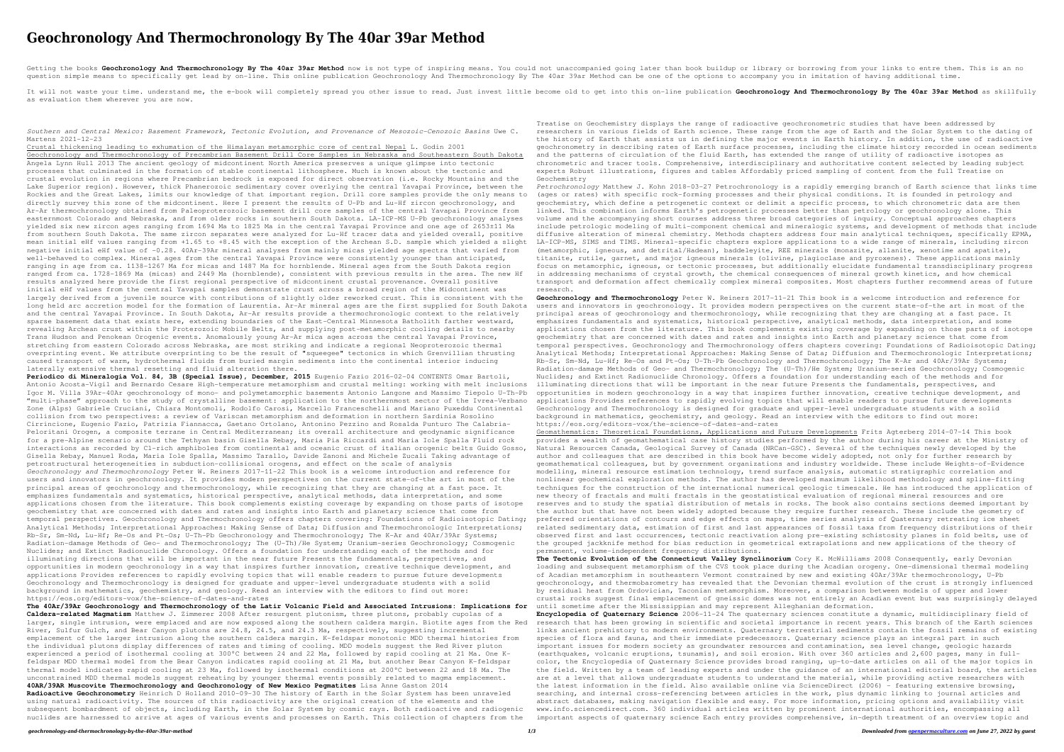## **Geochronology And Thermochronology By The 40ar 39ar Method**

Getting the books Geochronology And Thermochronology By The 40ar 39ar Method now is not type of inspiring means. You could not unaccompanied going later than book buildup or library or borrowing from your links to entre th question simple means to specifically get lead by on-line. This online publication Geochronology And Thermochronology By The 40ar 39ar Method can be one of the options to accompany you in imitation of having additional time.

It will not waste your time, understand me, the e-book will completely spread you other issue to read. Just invest little become old to get into this on-line publication Geochronology and Thermochronology By The 40ar 39ar as evaluation them wherever you are now.

*Southern and Central Mexico: Basement Framework, Tectonic Evolution, and Provenance of Mesozoic–Cenozoic Basins* Uwe C. Martens 2021-12-23

Crustal thickening leading to exhumation of the Himalayan metamorphic core of central Nepal L. Godin 2001 Geochronology and Thermochronology of Precambrian Basement Drill Core Samples in Nebraska and Southeastern South Dakota Angela Lynn Hull 2013 The ancient geology of midcontinent North America preserves a unique glimpse into tectonic processes that culminated in the formation of stable continental lithosphere. Much is known about the tectonic and crustal evolution in regions where Precambrian bedrock is exposed for direct observation (i.e. Rocky Mountains and the Lake Superior region). However, thick Phanerozoic sedimentary cover overlying the central Yavapai Province, between the Rockies and the Great Lakes, limits our knowledge of that important region. Drill core samples provide the only means to directly survey this zone of the midcontinent. Here I present the results of U-Pb and Lu-Hf zircon geochronology, and Ar-Ar thermochronology obtained from Paleoproterozoic basement drill core samples of the central Yavapai Province from easternmost Colorado and Nebraska, and from older rocks in southern South Dakota. LA-ICP-MS U-Pb geochronology analyses yielded six new zircon ages ranging from 1694 Ma to 1825 Ma in the central Yavapai Province and one age of 2653±11 Ma from southern South Dakota. The same zircon separates were analyzed for Lu-Hf tracer data and yielded overall, positive mean initial eHf values ranging from +1.65 to +8.45 with the exception of the Archean S.D. sample which yielded a slight negative initial eHf value of -0.28. 40Ar-39Ar mineral analyses from mainly micas yielded age spectra that varied from well-behaved to complex. Mineral ages from the central Yavapai Province were consistently younger than anticipated, ranging in age from ca. 1138-1267 Ma for micas and 1487 Ma for hornblende. Mineral ages from the South Dakota region ranged from ca. 1728-1869 Ma (micas) and 2449 Ma (hornblende), consistent with previous results in the area. The new Hf results analyzed here provide the first regional perspective of midcontinent crustal provenance. Overall positive initial eHf values from the central Yavapai samples demonstrate crust across a broad region of the Midcontinent was largely derived from a juvenile source with contributions of slightly older reworked crust. This is consistent with the long held arc accretion model for the formation of Laurentia. Ar-Ar mineral ages are the first supplied for South Dakota and the central Yavapai Province. In South Dakota, Ar-Ar results provide a thermochronologic context to the relatively sparse basement data that exists here, extending boundaries of the East-Central Minnesota Batholith farther westward, revealing Archean crust within the Proterozoic Mobile Belts, and supplying post-metamorphic cooling details to nearby Trans Hudson and Penokean Orogenic events. Anomalously young Ar-Ar mica ages across the central Yavapai Province, stretching from eastern Colorado across Nebraska, are most striking and indicate a regional Neoproterozoic thermal overprinting event. We attribute overprinting to be the result of "squeegee" tectonics in which Grenvillian thrusting caused transport of warm, hydrothermal fluids from buried margin sediments into the continental interior inducing laterally extensive thermal resetting and fluid alteration there. **Periodico di Mineralogia Vol. 84, 3B (Special Issue), December, 2015** Eugenio Fazio 2016-02-04 CONTENTS Omar Bartoli, Antonio Acosta-Vigil and Bernardo Cesare High-temperature metamorphism and crustal melting: working with melt inclusions Igor M. Villa 39Ar-40Ar geochronology of mono- and polymetamorphic basements Antonio Langone and Massimo Tiepolo U-Th-Pb "multi-phase" approach to the study of crystalline basement: application to the northernmost sector of the Ivrea-Verbano Zone (Alps) Gabriele Cruciani, Chiara Montomoli, Rodolfo Carosi, Marcello Franceschelli and Mariano Puxeddu Continental collision from two perspectives: a review of Variscan metamorphism and deformation in northern Sardinia Rosolino Cirrincione, Eugenio Fazio, Patrizia Fiannacca, Gaetano Ortolano, Antonino Pezzino and Rosalda Punturo The Calabria-Peloritani Orogen, a composite terrane in Central Mediterranean; its overall architecture and geodynamic significance for a pre-Alpine scenario around the Tethyan basin Gisella Rebay, Maria Pia Riccardi and Maria Iole Spalla Fluid rock interactions as recorded by Cl-rich amphiboles from continental and oceanic crust of italian orogenic belts Guido Gosso, Gisella Rebay, Manuel Roda, Maria Iole Spalla, Massimo Tarallo, Davide Zanoni and Michele Zucali Taking advantage of petrostructural heterogeneities in subduction-collisional orogens, and effect on the scale of analysis *Geochronology and Thermochronology* Peter W. Reiners 2017-11-22 This book is a welcome introduction and reference for users and innovators in geochronology. It provides modern perspectives on the current state-of-the art in most of the principal areas of geochronology and thermochronology, while recognizing that they are changing at a fast pace. It emphasizes fundamentals and systematics, historical perspective, analytical methods, data interpretation, and some applications chosen from the literature. This book complements existing coverage by expanding on those parts of isotope geochemistry that are concerned with dates and rates and insights into Earth and planetary science that come from temporal perspectives. Geochronology and Thermochronology offers chapters covering: Foundations of Radioisotopic Dating; Analytical Methods; Interpretational Approaches: Making Sense of Data; Diffusion and Thermochronologic Interpretations; Rb-Sr, Sm-Nd, Lu-Hf; Re-Os and Pt-Os; U-Th-Pb Geochronology and Thermochronology; The K-Ar and 40Ar/39Ar Systems; Radiation-damage Methods of Geo- and Thermochronology; The (U-Th)/He System; Uranium-series Geochronology; Cosmogenic Nuclides; and Extinct Radionuclide Chronology. Offers a foundation for understanding each of the methods and for illuminating directions that will be important in the near future Presents the fundamentals, perspectives, and opportunities in modern geochronology in a way that inspires further innovation, creative technique development, an applications Provides references to rapidly evolving topics that will enable readers to pursue future developments Geochronology and Thermochronology is designed for graduate and upper-level undergraduate students with a solid background in mathematics, geochemistry, and geology. Read an interview with the editors to find out more: https://eos.org/editors-vox/the-science-of-dates-and-rates

**The 40Ar/39Ar Geochronology and Thermochronology of the Latir Volcanic Field and Associated Intrusions: Implications for Caldera-related Magmatism** Matthew J. Zimmerer 2008 After resurgent plutonism, three plutons, probably cupolas of a larger, single intrusion, were emplaced and are now exposed along the southern caldera margin. Biotite ages from the Red River, Sulfur Gulch, and Bear Canyon plutons are 24.8, 24.5, and 24.3 Ma, respectively, suggesting incremental emplacement of the larger intrusion along the southern caldera margin. K-feldspar monotonic MDD thermal histories from the individual plutons display differences of rates and timing of cooling. MDD models suggest the Red River pluton experienced a period of isothermal cooling at 300°C between 24 and 22 Ma, followed by rapid cooling at 21 Ma. One Kfeldspar MDD thermal model from the Bear Canyon indicates rapid cooling at 21 Ma, but another Bear Canyon K-feldspar thermal model indicates rapid cooling at 23 Ma, followed by isothermal conditions at 200°C between 22 and 18 Ma. The unconstrained MDD thermal models suggest reheating by younger thermal events possibly related to magma emplacement. **40AR/39AR Muscovite Thermochronology and Geochronology of New Mexico Pegmatites** Lisa Anne Gaston 2014 **Radioactive Geochronometry** Heinrich D Holland 2010-09-30 The history of Earth in the Solar System has been unraveled

using natural radioactivity. The sources of this radioactivity are the original creation of the elements and the subsequent bombardment of objects, including Earth, in the Solar System by cosmic rays. Both radioactive and radiogenic nuclides are harnessed to arrive at ages of various events and processes on Earth. This collection of chapters from the

Treatise on Geochemistry displays the range of radioactive geochronometric studies that have been addressed by researchers in various fields of Earth science. These range from the age of Earth and the Solar System to the dating of the history of Earth that assists us in defining the major events in Earth history. In addition, the use of radioactive geochronometry in describing rates of Earth surface processes, including the climate history recorded in ocean sediments and the patterns of circulation of the fluid Earth, has extended the range of utility of radioactive isotopes as chronometric and tracer tools. Comprehensive, interdisciplinary and authoritative content selected by leading subject experts Robust illustrations, figures and tables Affordably priced sampling of content from the full Treatise on

Geochemistry research.

*Petrochronology* Matthew J. Kohn 2018-03-27 Petrochronology is a rapidly emerging branch of Earth science that links time (ages or rates) with specific rock-forming processes and their physical conditions. It is founded in petrology and geochemistry, which define a petrogenetic context or delimit a specific process, to which chronometric data are then linked. This combination informs Earth's petrogenetic processes better than petrology or geochronology alone. This volume and the accompanying short courses address three broad categories of inquiry. Conceptual approaches chapters include petrologic modeling of multi-component chemical and mineralogic systems, and development of methods that include diffusive alteration of mineral chemistry. Methods chapters address four main analytical techniques, specifically EPMA, LA-ICP-MS, SIMS and TIMS. Mineral-specific chapters explore applications to a wide range of minerals, including zircon (metamorphic, igneous, and detrital/Hadean), baddeleyite, REE minerals (monazite, allanite, xenotime and apatite), titanite, rutile, garnet, and major igneous minerals (olivine, plagioclase and pyroxenes). These applications mainly focus on metamorphic, igneous, or tectonic processes, but additionally elucidate fundamental transdisciplinary progress in addressing mechanisms of crystal growth, the chemical consequences of mineral growth kinetics, and how chemical transport and deformation affect chemically complex mineral composites. Most chapters further recommend areas of future

**Geochronology and Thermochronology** Peter W. Reiners 2017-11-21 This book is a welcome introduction and reference for users and innovators in geochronology. It provides modern perspectives on the current state-of-the art in most of the principal areas of geochronology and thermochronology, while recognizing that they are changing at a fast pace. It emphasizes fundamentals and systematics, historical perspective, analytical methods, data interpretation, and some applications chosen from the literature. This book complements existing coverage by expanding on those parts of isotope geochemistry that are concerned with dates and rates and insights into Earth and planetary science that come from temporal perspectives. Geochronology and Thermochronology offers chapters covering: Foundations of Radioisotopic Dating; Analytical Methods; Interpretational Approaches: Making Sense of Data; Diffusion and Thermochronologic Interpretations; Rb-Sr, Sm-Nd, Lu-Hf; Re-Os and Pt-Os; U-Th-Pb Geochronology and Thermochronology; The K-Ar and 40Ar/39Ar Systems; Radiation-damage Methods of Geo- and Thermochronology; The (U-Th)/He System; Uranium-series Geochronology; Cosmogenic Nuclides; and Extinct Radionuclide Chronology. Offers a foundation for understanding each of the methods and for illuminating directions that will be important in the near future Presents the fundamentals, perspectives, and opportunities in modern geochronology in a way that inspires further innovation, creative technique development, and applications Provides references to rapidly evolving topics that will enable readers to pursue future developments Geochronology and Thermochronology is designed for graduate and upper-level undergraduate students with a solid background in mathematics, geochemistry, and geology. Read an interview with the editors to find out more: https://eos.org/editors-vox/the-science-of-dates-and-rates

Geomathematics: Theoretical Foundations, Applications and Future Developments Frits Agterberg 2014-07-14 This book provides a wealth of geomathematical case history studies performed by the author during his career at the Ministry of Natural Resources Canada, Geological Survey of Canada (NRCan-GSC). Several of the techniques newly developed by the author and colleagues that are described in this book have become widely adopted, not only for further research by geomathematical colleagues, but by government organizations and industry worldwide. These include Weights-of-Evidence modelling, mineral resource estimation technology, trend surface analysis, automatic stratigraphic correlation and nonlinear geochemical exploration methods. The author has developed maximum likelihood methodology and spline-fitting techniques for the construction of the international numerical geologic timescale. He has introduced the application of new theory of fractals and multi fractals in the geostatistical evaluation of regional mineral resources and ore reserves and to study the spatial distribution of metals in rocks. The book also contains sections deemed important by the author but that have not been widely adopted because they require further research. These include the geometry of preferred orientations of contours and edge effects on maps, time series analysis of Quaternary retreating ice sheet related sedimentary data, estimation of first and last appearances of fossil taxa from frequency distributions of their observed first and last occurrences, tectonic reactivation along pre-existing schistosity planes in fold belts, use of the grouped jackknife method for bias reduction in geometrical extrapolations and new applications of the theory of permanent, volume-independent frequency distributions.

**The Tectonic Evolution of the Connecticut Valley Synclinorium** Cory K. McWilliams 2008 Consequently, early Devonian loading and subsequent metamorphism of the CVS took place during the Acadian orogeny. One-dimensional thermal modeling of Acadian metamorphism in southeastern Vermont constrained by new and existing 40Ar/39Ar thermochronology, U-Pb geochronology, and thermobarometry has revealed that the Devonian thermal evolution of the crust is strongly influenced by residual heat from Ordovician, Taconian metamorphism. Moreover, a comparison between models of upper and lower crustal rocks suggest final emplacement of gneissic domes was not entirely an Acadian event but was surprisingly delayed until sometime after the Mississippian and may represent Alleghanian deformation.

**Encyclopedia of Quaternary Science** 2006-11-24 The quaternary sciences constitute a dynamic, multidisciplinary field of research that has been growing in scientific and societal importance in recent years. This branch of the Earth sciences links ancient prehistory to modern environments. Quaternary terrestrial sediments contain the fossil remains of existing species of flora and fauna, and their immediate predecessors. Quaternary science plays an integral part in such important issues for modern society as groundwater resources and contamination, sea level change, geologic hazards (earthquakes, volcanic eruptions, tsunamis), and soil erosion. With over 360 articles and 2,600 pages, many in fullcolor, the Encyclopedia of Quaternary Science provides broad ranging, up-to-date articles on all of the major topics in the field. Written by a team of leading experts and under the guidance of an international editorial board, the articles are at a level that allows undergraduate students to understand the material, while providing active researchers with the latest information in the field. Also available online via ScienceDirect (2006) – featuring extensive browsing, searching, and internal cross-referencing between articles in the work, plus dynamic linking to journal articles and abstract databases, making navigation flexible and easy. For more information, pricing options and availability visit www.info.sciencedirect.com. 360 individual articles written by prominent international authorities, encompassing all important aspects of quaternary science Each entry provides comprehensive, in-depth treatment of an overview topic and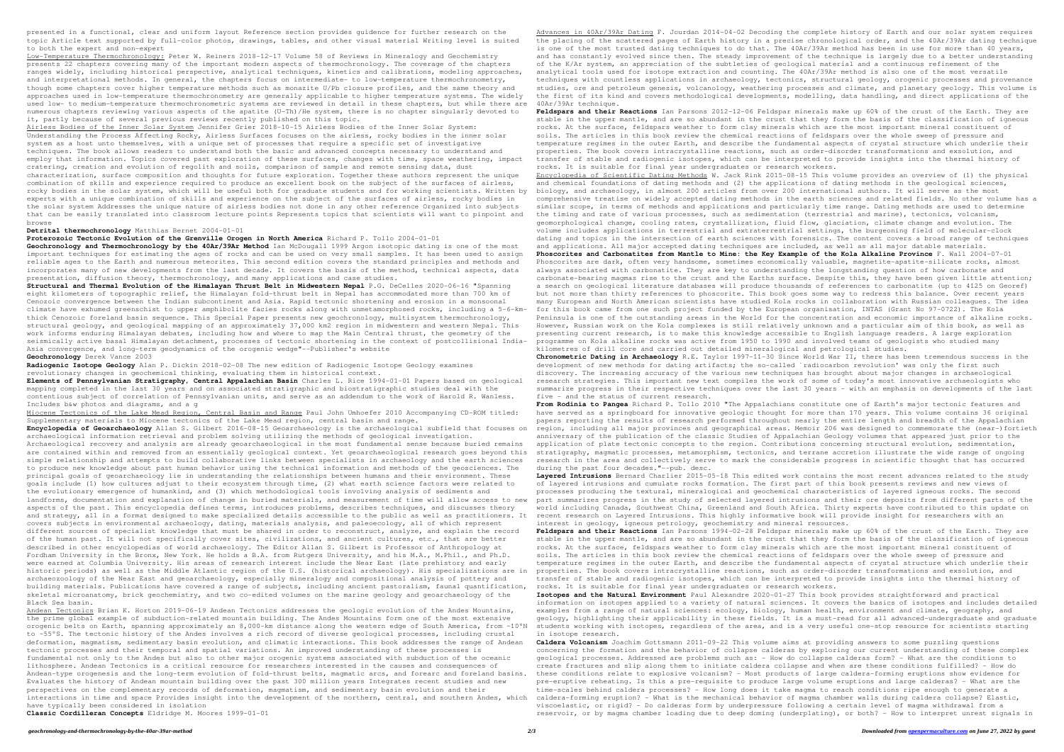presented in a functional, clear and uniform layout Reference section provides guidence for further research on the topic Article text supported by full-color photos, drawings, tables, and other visual material Writing level is suited to both the expert and non-expert

Low-Temperature Thermochronology: Peter W. Reiners 2018-12-17 Volume 58 of Reviews in Mineralogy and Geochemistry presents 22 chapters covering many of the important modern aspects of thermochronology. The coverage of the chapters ranges widely, including historical perspective, analytical techniques, kinetics and calibrations, modeling approaches, and interpretational methods. In general, the chapters focus on intermediate- to low-temperature thermochronometry, though some chapters cover higher temperature methods such as monazite U/Pb closure profiles, and the same theory and approaches used in low-temperature thermochronometry are generally applicable to higher temperature systems. The widely used low- to medium-temperature thermochronometric systems are reviewed in detail in these chapters, but while there are numerous chapters reviewing various aspects of the apatite (U-Th)/He system, there is no chapter singularly devoted to it, partly because of several previous reviews recently published on this topic.

Airless Bodies of the Inner Solar System Jennifer Grier 2018-10-15 Airless Bodies of the Inner Solar System: Understanding the Process Affecting Rocky, Airless Surfaces focuses on the airless, rocky bodies in the inner solar system as a host unto themselves, with a unique set of processes that require a specific set of investigative techniques. The book allows readers to understand both the basic and advanced concepts necessary to understand and employ that information. Topics covered past exploration of these surfaces, changes with time, space weathering, impact cratering, creation and evolution of regolith and soils, comparison of sample and remote sensing data, dust characterization, surface composition and thoughts for future exploration. Together these authors represent the unique combination of skills and experience required to produce an excellent book on the subject of the surfaces of airless, rocky bodies in the solar system, which will be useful both for graduate students and for working scientists. Written by experts with a unique combination of skills and experience on the subject of the surfaces of airless, rocky bodies in the solar system Addresses the unique nature of airless bodies not done in any other reference Organized into subjects that can be easily translated into classroom lecture points Represents topics that scientists will want to pinpoint and browse

## **Detrital thermochronology** Matthias Bernet 2004-01-01

**Proterozoic Tectonic Evolution of the Grenville Orogen in North America** Richard P. Tollo 2004-01-01

**Geochronology and Thermochronology by the 40Ar/39Ar Method** Ian McDougall 1999 Argon isotopic dating is one of the most important techniques for estimating the ages of rocks and can be used on very small samples. It has been used to assign reliable ages to the Earth and numerous meteorites. This second edition covers the standard principles and methods and incorporates many of new developments from the last decade. It covers the basis of the method, technical aspects, data presentation, diffusion theory, thermochronology, and many applications and case studies.

**Structural and Thermal Evolution of the Himalayan Thrust Belt in Midwestern Nepal** P.G. DeCelles 2020-06-16 "Spanning eight kilometers of topographic relief, the Himalayan fold-thrust belt in Nepal has accommodated more than 700 km of Cenozoic convergence between the Indian subcontinent and Asia. Rapid tectonic shortening and erosion in a monsoonal climate have exhumed greenschist to upper amphibolite facies rocks along with unmetamorphosed rocks, including a 5-6-kmthick Cenozoic foreland basin sequence. This Special Paper presents new geochronology, multisystem thermochronology, structural geology, and geological mapping of an approximately 37,000 km2 region in midwestern and western Nepal. This work informs enduring Himalayan debates, including how and where to map the Main Central thrust, the geometry of the seismically active basal Himalayan detachment, processes of tectonic shortening in the context of postcollisional India-Asia convergence, and long-term geodynamics of the orogenic wedge"--Publisher's website **Geochronology** Derek Vance 2003

**Radiogenic Isotope Geology** Alan P. Dickin 2018-02-08 The new edition of Radiogenic Isotope Geology examines revolutionary changes in geochemical thinking, evaluating them in historical context.

**Elements of Pennsylvanian Stratigraphy, Central Appalachian Basin** Charles L. Rice 1994-01-01 Papers based on geological mapping completed in the last 30 years and on associated stratigraphic and biostratigraphic studies deal with the contentious subject of correlation of Pennsylvanian units, and serve as an addendum to the work of Harold R. Wanless. Includes b&w photos and diagrams, and a g

Miocene Tectonics of the Lake Mead Region, Central Basin and Range Paul John Umhoefer 2010 Accompanying CD-ROM titled: Supplementary materials to Miocene tectonics of the Lake Mead region, central basin and range.

**Encyclopedia of Geoarchaeology** Allan S. Gilbert 2016-08-15 Geoarchaeology is the archaeological subfield that focuses on archaeological information retrieval and problem solving utilizing the methods of geological investigation. Archaeological recovery and analysis are already geoarchaeological in the most fundamental sense because buried remains are contained within and removed from an essentially geological context. Yet geoarchaeological research goes beyond this simple relationship and attempts to build collaborative links between specialists in archaeology and the earth sciences to produce new knowledge about past human behavior using the technical information and methods of the geosciences. The principal goals of geoarchaeology lie in understanding the relationships between humans and their environment. These goals include (1) how cultures adjust to their ecosystem through time, (2) what earth science factors were related to the evolutionary emergence of humankind, and (3) which methodological tools involving analysis of sediments and landforms, documentation and explanation of change in buried materials, and measurement of time will allow access to new aspects of the past. This encyclopedia defines terms, introduces problems, describes techniques, and discusses theory and strategy, all in a format designed to make specialized details accessible to the public as well as practitioners. It covers subjects in environmental archaeology, dating, materials analysis, and paleoecology, all of which represent different sources of specialist knowledge that must be shared in order to reconstruct, analyze, and explain the record of the human past. It will not specifically cover sites, civilizations, and ancient cultures, etc., that are better described in other encyclopedias of world archaeology. The Editor Allan S. Gilbert is Professor of Anthropology at Fordham University in the Bronx, New York. He holds a B.A. from Rutgers University, and his M.A., M.Phil., and Ph.D. were earned at Columbia University. His areas of research interest include the Near East (late prehistory and early historic periods) as well as the Middle Atlantic region of the U.S. (historical archaeology). His specializations are in properties. The book covers intracrystalline reactions, such as order-disorder transformations and ex archaeozoology of the Near East and geoarchaeology, especially mineralogy and compositional analysis of pottery and building materials. Publications have covered a range of subjects, including ancient pastoralism, faunal quantification, skeletal microanatomy, brick geochemistry, and two co-edited volumes on the marine geology and geoarchaeology of the Black Sea basin.

Andean Tectonics Brian K. Horton 2019-06-19 Andean Tectonics addresses the geologic evolution of the Andes Mountains, the prime global example of subduction-related mountain building. The Andes Mountains form one of the most extensive orogenic belts on Earth, spanning approximately an 8,000-km distance along the western edge of South America, from ~10°N to ~55°S. The tectonic history of the Andes involves a rich record of diverse geological processes, including crustal deformation, magmatism, sedimentary basin evolution, and climatic interactions. This book addresses the range of Andean tectonic processes and their temporal and spatial variations. An improved understanding of these processes is fundamental not only to the Andes but also to other major orogenic systems associated with subduction of the oceanic lithosphere. Andean Tectonics is a critical resource for researchers interested in the causes and consequences of Andean-type orogenesis and the long-term evolution of fold-thrust belts, magmatic arcs, and forearc and foreland basins. Evaluates the history of Andean mountain building over the past 300 million years Integrates recent studies and new perspectives on the complementary records of deformation, magmatism, and sedimentary basin evolution and their interactions in time and space Provides insight into the development of the northern, central, and southern Andes, which caldera-forming eruption? - What is the mechanical behavior of magma chamber walls during caldera col have typically been considered in isolation

**Classic Cordilleran Concepts** Eldridge M. Moores 1999-01-01

Advances in 40Ar/39Ar Dating F. Jourdan 2014-04-02 Decoding the complete history of Earth and our solar system requires the placing of the scattered pages of Earth history in a precise chronological order, and the 40Ar/39Ar dating technique is one of the most trusted dating techniques to do that. The 40Ar/39Ar method has been in use for more than 40 years, and has constantly evolved since then. The steady improvement of the technique is largely due to a better understanding of the K/Ar system, an appreciation of the subtleties of geological material and a continuous refinement of the analytical tools used for isotope extraction and counting. The 40Ar/39Ar method is also one of the most versatile techniques with countless applications in archaeology, tectonics, structural geology, orogenic processes and provenance studies, ore and petroleum genesis, volcanology, weathering processes and climate, and planetary geology. This volume is the first of its kind and covers methodological developments, modelling, data handling, and direct applications of the 40Ar/39Ar technique.

**Feldspars and their Reactions** Ian Parsons 2012-12-06 Feldspar minerals make up 60% of the crust of the Earth. They are stable in the upper mantle, and are so abundant in the crust that they form the basis of the classification of igneous rocks. At the surface, feldspars weather to form clay minerals which are the most important mineral constituent of soils. The articles in this book review the chemical reactions of feldspars over the whole sweep of pressure and temperature regimes in the outer Earth, and describe the fundamental aspects of crystal structure which underlie their properties. The book covers intracrystalline reactions, such as order-disorder transformations and exsolution, and transfer of stable and radiogenic isotopes, which can be interpreted to provide insights into the thermal history of rocks. It is suitable for final year undergraduates or research workers.

Encyclopedia of Scientific Dating Methods W. Jack Rink 2015-08-15 This volume provides an overview of (1) the physical and chemical foundations of dating methods and (2) the applications of dating methods in the geological sciences, biology, and archaeology, in almost 200 articles from over 200 international authors. It will serve as the most comprehensive treatise on widely accepted dating methods in the earth sciences and related fields. No other volume has a similar scope, in terms of methods and applications and particularly time range. Dating methods are used to determine the timing and rate of various processes, such as sedimentation (terrestrial and marine), tectonics, volcanism, geomorphological change, cooling rates, crystallization, fluid flow, glaciation, climate change and evolution. The volume includes applications in terrestrial and extraterrestrial settings, the burgeoning field of molecular-clock dating and topics in the intersection of earth sciences with forensics. The content covers a broad range of techniques

and applications. All major accepted dating techniques are included, as well as all major datable materials. **Phoscorites and Carbonatites from Mantle to Mine: the Key Example of the Kola Alkaline Province** F. Wall 2004-07-01 Phoscorites are dark, often very handsome, sometimes economically valuable, magnetite-apatite-silicate rocks, almost always associated with carbonatite. They are key to understanding the longstanding question of how carbonate and carbonate-bearing magmas rise to the crust and the Earths surface. Despite this, they have been given little attention; a search on geological literature databases will produce thousands of references to carbonatite (up to 4125 on Georef) but not more than thirty references to phoscorite. This book goes some way to redress this balance. Over recent years many European and North American scientists have studied Kola rocks in collaboration with Russian colleagues. The idea for this book came from one such project funded by the European organisation, INTAS (Grant No 97-0722). The Kola Peninsula is one of the outstanding areas in the World for the concentration and economic importance of alkaline rocks. However, Russian work on the Kola complexes is still relatively unknown and a particular aim of this book, as well as presenting current research, is to make this knowledge accessible to English language readers. A large exploration programme on Kola alkaline rocks was active from 1950 to 1990 and involved teams of geologists who studied many kilometres of drill core and carried out detailed mineralogical and petrological studies.

**Chronometric Dating in Archaeology** R.E. Taylor 1997-11-30 Since World War II, there has been tremendous success in the development of new methods for dating artifacts; the so-called `radiocarbon revolution' was only the first such discovery. The increasing accuracy of the various new techniques has brought about major changes in archaeological research strategies. This important new text compiles the work of some of today's most innovative archaeologists who summarize progress in their respective techniques over the last 30 years - with an emphasis on developments of the last five - and the status of current research.

**From Rodinia to Pangea** Richard P. Tollo 2010 "The Appalachians constitute one of Earth's major tectonic features and have served as a springboard for innovative geologic thought for more than 170 years. This volume contains 36 original papers reporting the results of research performed throughout nearly the entire length and breadth of the Appalachian region, including all major provinces and geographical areas. Memoir 206 was designed to commemorate the (near-)fortieth anniversary of the publication of the classic Studies of Appalachian Geology volumes that appeared just prior to the application of plate tectonic concepts to the region. Contributions concerning structural evolution, sedimentation, stratigraphy, magmatic processes, metamorphism, tectonics, and terrane accretion illustrate the wide range of ongoing research in the area and collectively serve to mark the considerable progress in scientific thought that has occurred during the past four decades."--pub. desc.

**Layered Intrusions** Bernard Charlier 2015-05-18 This edited work contains the most recent advances related to the study of layered intrusions and cumulate rocks formation. The first part of this book presents reviews and new views of processes producing the textural, mineralogical and geochemical characteristics of layered igneous rocks. The second part summarizes progress in the study of selected layered intrusions and their ore deposits from different parts of the world including Canada, Southwest China, Greenland and South Africa. Thirty experts have contributed to this update on recent research on Layered Intrusions. This highly informative book will provide insight for researchers with an interest in geology, igneous petrology, geochemistry and mineral resources.

**Feldspars and their Reactions** Ian Parsons 1994-02-28 Feldspar minerals make up 60% of the crust of the Earth. They are stable in the upper mantle, and are so abundant in the crust that they form the basis of the classification of igneous rocks. At the surface, feldspars weather to form clay minerals which are the most important mineral constituent of soils. The articles in this book review the chemical reactions of feldspars over the whole sweep of pressure and temperature regimes in the outer Earth, and describe the fundamental aspects of crystal structure which underlie their transfer of stable and radiogenic isotopes, which can be interpreted to provide insights into the thermal history of rocks. It is suitable for final year undergraduates or research workers.

**Isotopes and the Natural Environment** Paul Alexandre 2020-01-27 This book provides straightforward and practical information on isotopes applied to a variety of natural sciences. It covers the basics of isotopes and includes detailed examples from a range of natural sciences: ecology, biology, human health, environment and climate, geography, and geology, highlighting their applicability in these fields. It is a must-read for all advanced-undergraduate and graduate students working with isotopes, regardless of the area, and is a very useful one-stop resource for scientists starting in isotope research.

**Caldera Volcanism** Joachim Gottsmann 2011-09-22 This volume aims at providing answers to some puzzling questions concerning the formation and the behavior of collapse calderas by exploring our current understanding of these complex geological processes. Addressed are problems such as: - How do collapse calderas form? - What are the conditions to create fractures and slip along them to initiate caldera collapse and when are these conditions fulfilled? - How do these conditions relate to explosive volcanism? - Most products of large caldera-forming eruptions show evidence for pre-eruptive reheating. Is this a pre-requisite to produce large volume eruptions and large calderas? - What are the time-scales behind caldera processes? - How long does it take magma to reach conditions ripe enough to generate a viscoelastic, or rigid? - Do calderas form by underpressure following a certain level of magma withdrawal from a reservoir, or by magma chamber loading due to deep doming (underplating), or both? - How to interpret unrest signals in